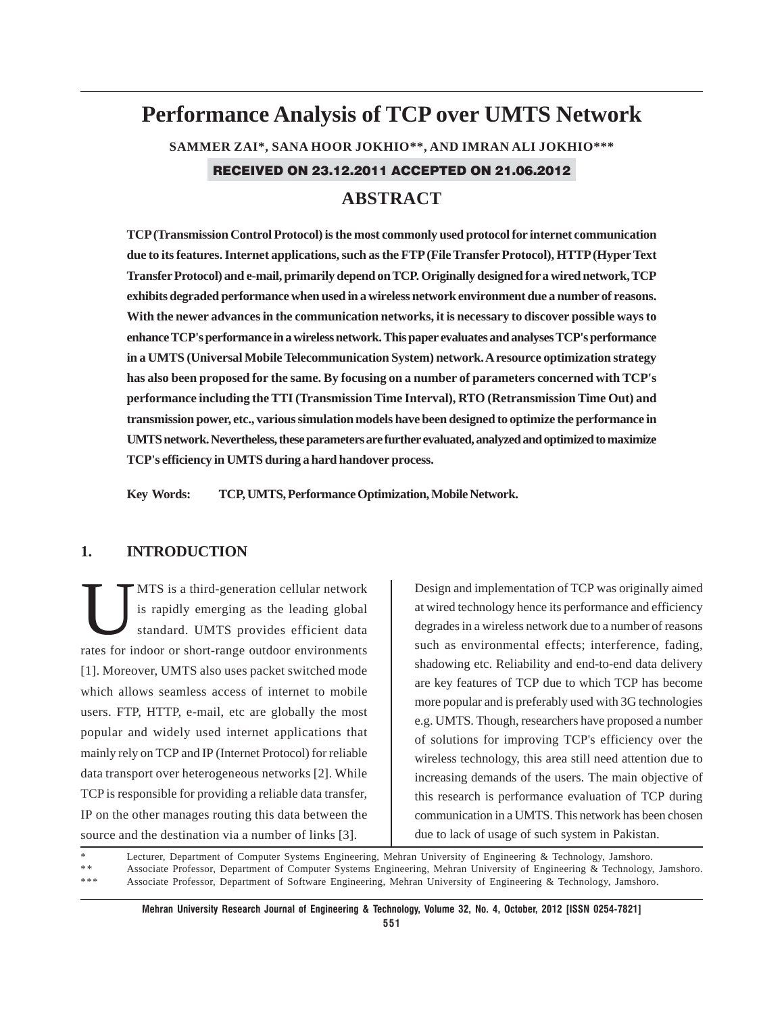# **Performance Analysis of TCP over UMTS Network SAMMER ZAI\*, SANA HOOR JOKHIO\*\*, AND IMRAN ALI JOKHIO\*\*\*** RECEIVED ON 23.12.2011 ACCEPTED ON 21.06.2012 **ABSTRACT**

**TCP (Transmission Control Protocol) is the most commonly used protocol for internet communication due to its features. Internet applications, such as the FTP (File Transfer Protocol), HTTP (Hyper Text Transfer Protocol) and e-mail, primarily depend on TCP. Originally designed for a wired network, TCP exhibits degraded performance when used in a wireless network environment due a number of reasons. With the newer advances in the communication networks, it is necessary to discover possible ways to enhance TCP's performance in a wireless network. This paper evaluates and analyses TCP's performance in a UMTS (Universal Mobile Telecommunication System) network. A resource optimization strategy has also been proposed for the same. By focusing on a number of parameters concerned with TCP's performance including the TTI (Transmission Time Interval), RTO (Retransmission Time Out) and transmission power, etc., various simulation models have been designed to optimize the performance in UMTS network. Nevertheless, these parameters are further evaluated, analyzed and optimized to maximize TCP's efficiency in UMTS during a hard handover process.**

**Key Words: TCP, UMTS, Performance Optimization, Mobile Network.**

## **1. INTRODUCTION**

MTS is a third-generation cellular network<br>is rapidly emerging as the leading global<br>standard. UMTS provides efficient data is rapidly emerging as the leading global standard. UMTS provides efficient data rates for indoor or short-range outdoor environments [1]. Moreover, UMTS also uses packet switched mode which allows seamless access of internet to mobile users. FTP, HTTP, e-mail, etc are globally the most popular and widely used internet applications that mainly rely on TCP and IP (Internet Protocol) for reliable data transport over heterogeneous networks [2]. While TCP is responsible for providing a reliable data transfer, IP on the other manages routing this data between the source and the destination via a number of links [3].

Design and implementation of TCP was originally aimed at wired technology hence its performance and efficiency degrades in a wireless network due to a number of reasons such as environmental effects; interference, fading, shadowing etc. Reliability and end-to-end data delivery are key features of TCP due to which TCP has become more popular and is preferably used with 3G technologies e.g. UMTS. Though, researchers have proposed a number of solutions for improving TCP's efficiency over the wireless technology, this area still need attention due to increasing demands of the users. The main objective of this research is performance evaluation of TCP during communication in a UMTS. This network has been chosen due to lack of usage of such system in Pakistan.

Lecturer, Department of Computer Systems Engineering, Mehran University of Engineering & Technology, Jamshoro.

\* \* Associate Professor, Department of Computer Systems Engineering, Mehran University of Engineering & Technology, Jamshoro. \*\*\* Associate Professor, Department of Software Engineering, Mehran University of Engineering & Technology, Jamshoro.

**551**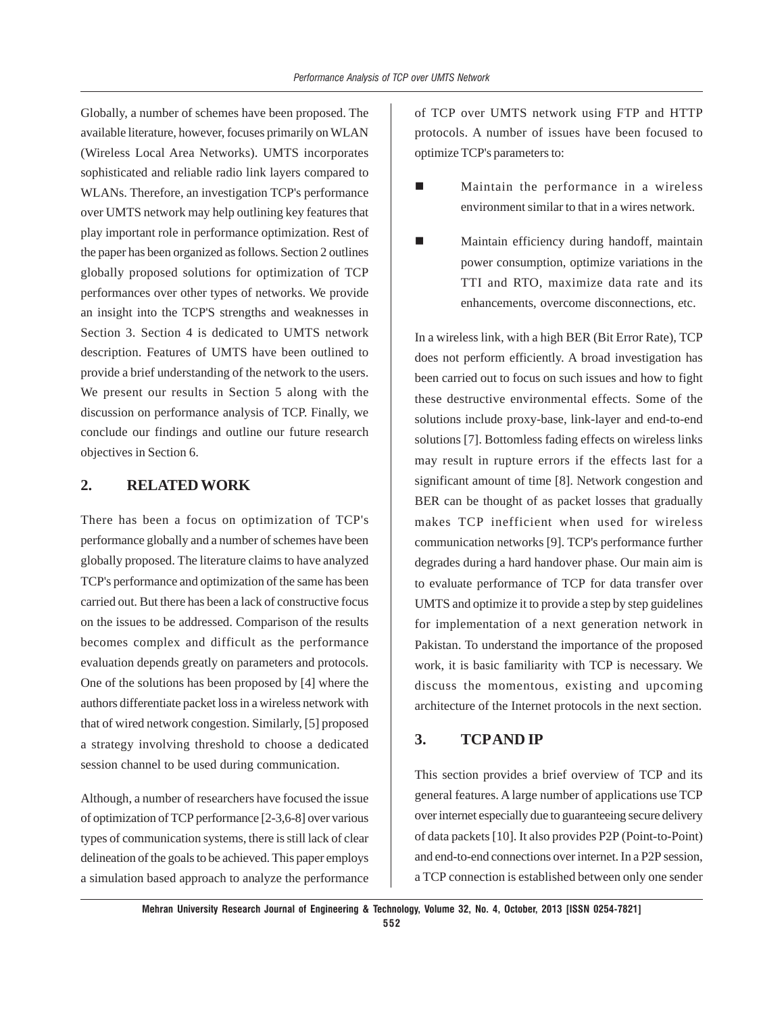Globally, a number of schemes have been proposed. The available literature, however, focuses primarily on WLAN (Wireless Local Area Networks). UMTS incorporates sophisticated and reliable radio link layers compared to WLANs. Therefore, an investigation TCP's performance over UMTS network may help outlining key features that play important role in performance optimization. Rest of the paper has been organized as follows. Section 2 outlines globally proposed solutions for optimization of TCP performances over other types of networks. We provide an insight into the TCP'S strengths and weaknesses in Section 3. Section 4 is dedicated to UMTS network description. Features of UMTS have been outlined to provide a brief understanding of the network to the users. We present our results in Section 5 along with the discussion on performance analysis of TCP. Finally, we conclude our findings and outline our future research objectives in Section 6.

# **2. RELATED WORK**

There has been a focus on optimization of TCP's performance globally and a number of schemes have been globally proposed. The literature claims to have analyzed TCP's performance and optimization of the same has been carried out. But there has been a lack of constructive focus on the issues to be addressed. Comparison of the results becomes complex and difficult as the performance evaluation depends greatly on parameters and protocols. One of the solutions has been proposed by [4] where the authors differentiate packet loss in a wireless network with that of wired network congestion. Similarly, [5] proposed a strategy involving threshold to choose a dedicated session channel to be used during communication.

Although, a number of researchers have focused the issue of optimization of TCP performance [2-3,6-8] over various types of communication systems, there is still lack of clear delineation of the goals to be achieved. This paper employs a simulation based approach to analyze the performance of TCP over UMTS network using FTP and HTTP protocols. A number of issues have been focused to optimize TCP's parameters to:

- Maintain the performance in a wireless environment similar to that in a wires network.
- Maintain efficiency during handoff, maintain power consumption, optimize variations in the TTI and RTO, maximize data rate and its enhancements, overcome disconnections, etc.

In a wireless link, with a high BER (Bit Error Rate), TCP does not perform efficiently. A broad investigation has been carried out to focus on such issues and how to fight these destructive environmental effects. Some of the solutions include proxy-base, link-layer and end-to-end solutions [7]. Bottomless fading effects on wireless links may result in rupture errors if the effects last for a significant amount of time [8]. Network congestion and BER can be thought of as packet losses that gradually makes TCP inefficient when used for wireless communication networks [9]. TCP's performance further degrades during a hard handover phase. Our main aim is to evaluate performance of TCP for data transfer over UMTS and optimize it to provide a step by step guidelines for implementation of a next generation network in Pakistan. To understand the importance of the proposed work, it is basic familiarity with TCP is necessary. We discuss the momentous, existing and upcoming architecture of the Internet protocols in the next section.

# **3. TCP AND IP**

This section provides a brief overview of TCP and its general features. A large number of applications use TCP over internet especially due to guaranteeing secure delivery of data packets [10]. It also provides P2P (Point-to-Point) and end-to-end connections over internet. In a P2P session, a TCP connection is established between only one sender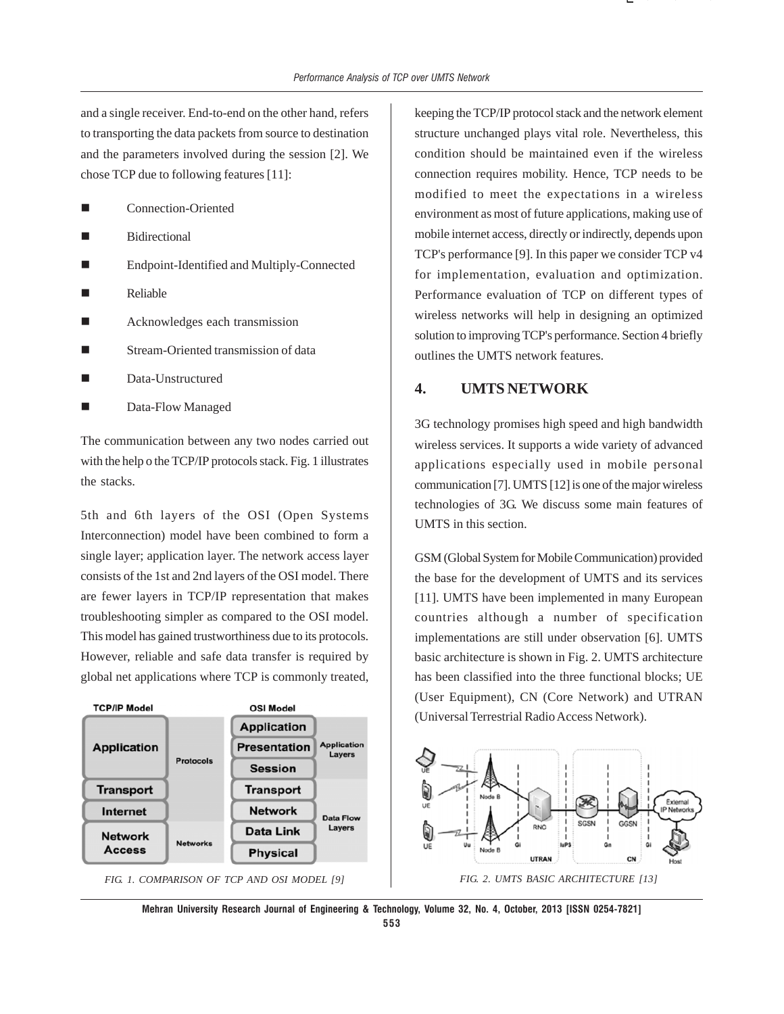and a single receiver. End-to-end on the other hand, refers to transporting the data packets from source to destination and the parameters involved during the session [2]. We chose TCP due to following features [11]:

- Connection-Oriented
- Bidirectional
- Endpoint-Identified and Multiply-Connected
- Reliable
- Acknowledges each transmission
- Stream-Oriented transmission of data
- Data-Unstructured
- Data-Flow Managed

The communication between any two nodes carried out with the help o the TCP/IP protocols stack. Fig. 1 illustrates the stacks.

5th and 6th layers of the OSI (Open Systems Interconnection) model have been combined to form a single layer; application layer. The network access layer consists of the 1st and 2nd layers of the OSI model. There are fewer layers in TCP/IP representation that makes troubleshooting simpler as compared to the OSI model. This model has gained trustworthiness due to its protocols. However, reliable and safe data transfer is required by global net applications where TCP is commonly treated,



keeping the TCP/IP protocol stack and the network element structure unchanged plays vital role. Nevertheless, this condition should be maintained even if the wireless connection requires mobility. Hence, TCP needs to be modified to meet the expectations in a wireless environment as most of future applications, making use of mobile internet access, directly or indirectly, depends upon TCP's performance [9]. In this paper we consider TCP v4 for implementation, evaluation and optimization. Performance evaluation of TCP on different types of wireless networks will help in designing an optimized solution to improving TCP's performance. Section 4 briefly outlines the UMTS network features.

( ) ( ⎣

### **4. UMTS NETWORK**

3G technology promises high speed and high bandwidth wireless services. It supports a wide variety of advanced applications especially used in mobile personal communication [7]. UMTS [12] is one of the major wireless technologies of 3G. We discuss some main features of UMTS in this section.

GSM (Global System for Mobile Communication) provided the base for the development of UMTS and its services [11]. UMTS have been implemented in many European countries although a number of specification implementations are still under observation [6]. UMTS basic architecture is shown in Fig. 2. UMTS architecture has been classified into the three functional blocks; UE (User Equipment), CN (Core Network) and UTRAN (Universal Terrestrial Radio Access Network).



**Mehran University Research Journal of Engineering & Technology, Volume 32, No. 4, October, 2013 [ISSN 0254-7821]**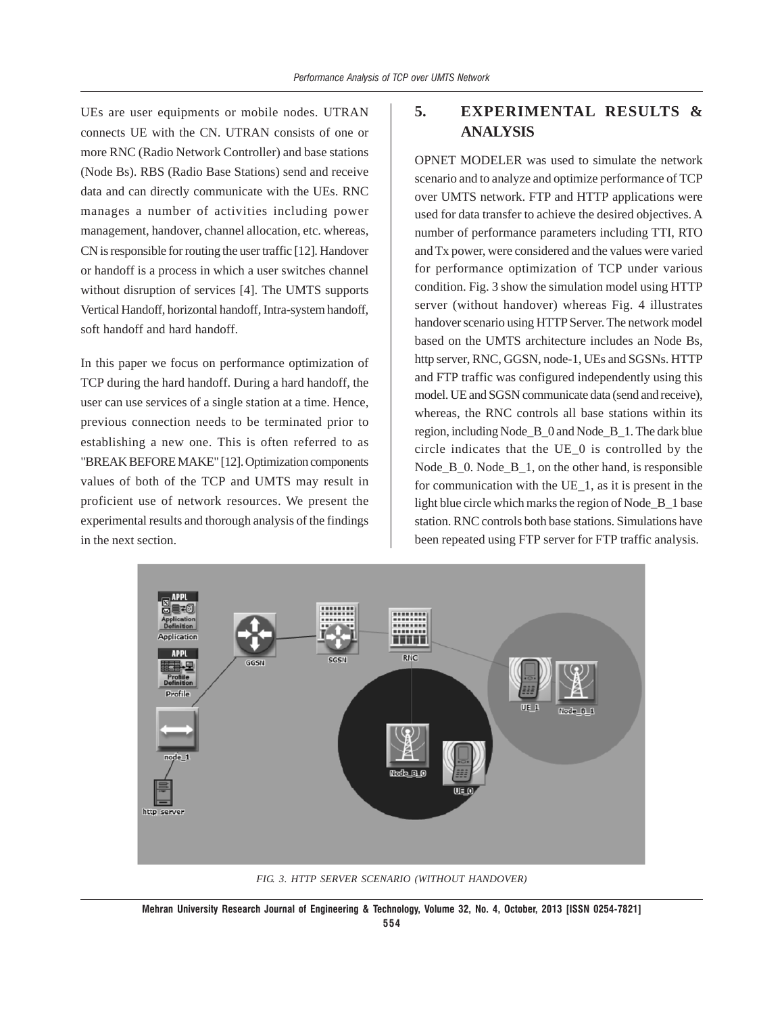UEs are user equipments or mobile nodes. UTRAN connects UE with the CN. UTRAN consists of one or more RNC (Radio Network Controller) and base stations (Node Bs). RBS (Radio Base Stations) send and receive data and can directly communicate with the UEs. RNC manages a number of activities including power management, handover, channel allocation, etc. whereas, CN is responsible for routing the user traffic [12]. Handover or handoff is a process in which a user switches channel without disruption of services [4]. The UMTS supports Vertical Handoff, horizontal handoff, Intra-system handoff, soft handoff and hard handoff.

In this paper we focus on performance optimization of TCP during the hard handoff. During a hard handoff, the user can use services of a single station at a time. Hence, previous connection needs to be terminated prior to establishing a new one. This is often referred to as "BREAK BEFORE MAKE" [12]. Optimization components values of both of the TCP and UMTS may result in proficient use of network resources. We present the experimental results and thorough analysis of the findings in the next section.

# **5. EXPERIMENTAL RESULTS & ANALYSIS**

OPNET MODELER was used to simulate the network scenario and to analyze and optimize performance of TCP over UMTS network. FTP and HTTP applications were used for data transfer to achieve the desired objectives. A number of performance parameters including TTI, RTO and Tx power, were considered and the values were varied for performance optimization of TCP under various condition. Fig. 3 show the simulation model using HTTP server (without handover) whereas Fig. 4 illustrates handover scenario using HTTP Server. The network model based on the UMTS architecture includes an Node Bs, http server, RNC, GGSN, node-1, UEs and SGSNs. HTTP and FTP traffic was configured independently using this model. UE and SGSN communicate data (send and receive), whereas, the RNC controls all base stations within its region, including Node\_B\_0 and Node\_B\_1. The dark blue circle indicates that the UE\_0 is controlled by the Node  $B_0$ . Node  $B_1$ , on the other hand, is responsible for communication with the UE\_1, as it is present in the light blue circle which marks the region of Node\_B\_1 base station. RNC controls both base stations. Simulations have been repeated using FTP server for FTP traffic analysis.



*FIG. 3. HTTP SERVER SCENARIO (WITHOUT HANDOVER)*

**Mehran University Research Journal of Engineering & Technology, Volume 32, No. 4, October, 2013 [ISSN 0254-7821]**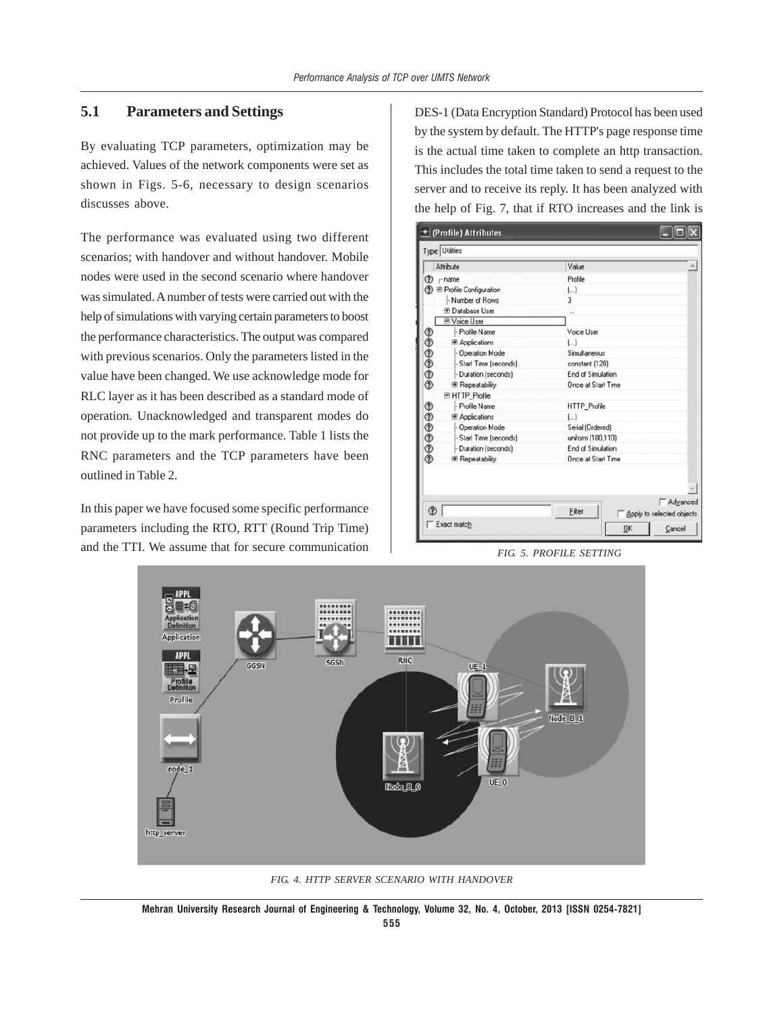## **5.1 Parameters and Settings**

By evaluating TCP parameters, optimization may be achieved. Values of the network components were set as shown in Figs. 5-6, necessary to design scenarios discusses above.

The performance was evaluated using two different scenarios; with handover and without handover. Mobile nodes were used in the second scenario where handover was simulated. A number of tests were carried out with the help of simulations with varying certain parameters to boost the performance characteristics. The output was compared with previous scenarios. Only the parameters listed in the value have been changed. We use acknowledge mode for RLC layer as it has been described as a standard mode of operation. Unacknowledged and transparent modes do not provide up to the mark performance. Table 1 lists the RNC parameters and the TCP parameters have been outlined in Table 2.

In this paper we have focused some specific performance parameters including the RTO, RTT (Round Trip Time) and the TTI. We assume that for secure communication DES-1 (Data Encryption Standard) Protocol has been used by the system by default. The HTTP's page response time is the actual time taken to complete an http transaction. This includes the total time taken to send a request to the server and to receive its reply. It has been analyzed with the help of Fig. 7, that if RTO increases and the link is



*FIG. 5. PROFILE SETTING*



*FIG. 4. HTTP SERVER SCENARIO WITH HANDOVER*

**Mehran University Research Journal of Engineering & Technology, Volume 32, No. 4, October, 2013 [ISSN 0254-7821]**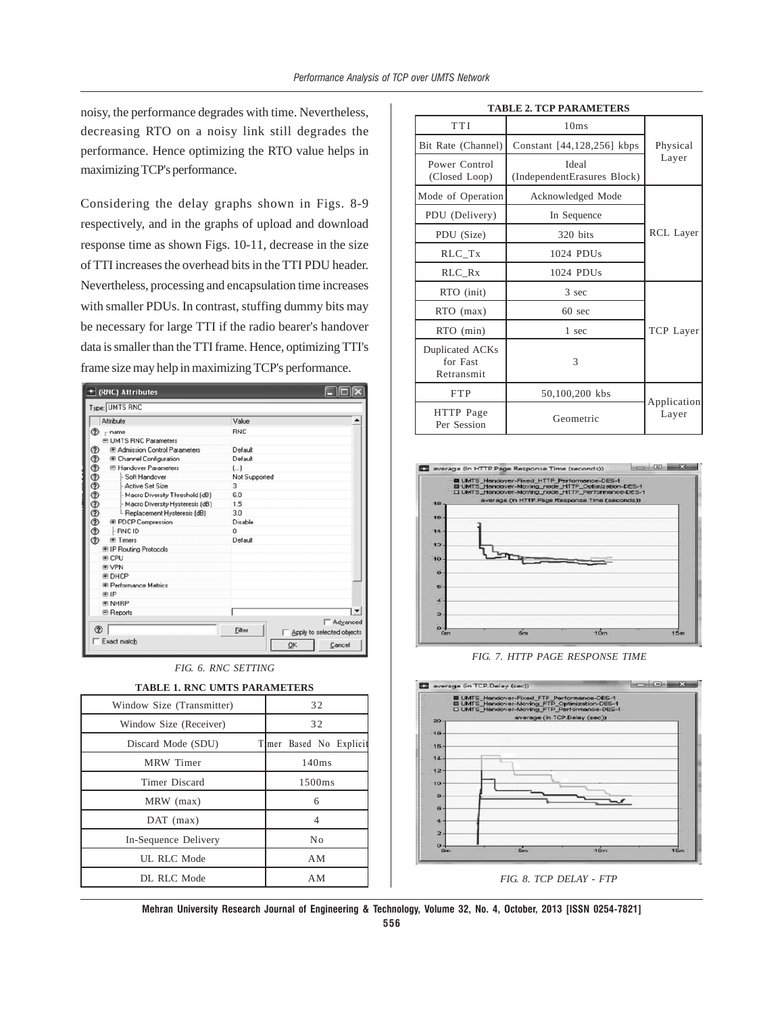noisy, the performance degrades with time. Nevertheless, decreasing RTO on a noisy link still degrades the performance. Hence optimizing the RTO value helps in maximizing TCP's performance.

Considering the delay graphs shown in Figs. 8-9 respectively, and in the graphs of upload and download response time as shown Figs. 10-11, decrease in the size of TTI increases the overhead bits in the TTI PDU header. Nevertheless, processing and encapsulation time increases with smaller PDUs. In contrast, stuffing dummy bits may be necessary for large TTI if the radio bearer's handover data is smaller than the TTI frame. Hence, optimizing TTI's frame size may help in maximizing TCP's performance.

| <b>★ (RNC) Attributes</b>                  |               |                           |
|--------------------------------------------|---------------|---------------------------|
| Type: UMTS RNC                             |               |                           |
| Attribute                                  | Value         |                           |
| ℗<br>- name                                | <b>RNC</b>    |                           |
| <b>E UMTS RNC Parameters</b>               |               |                           |
| ℗<br><b>E Admission Control Parameters</b> | Default       |                           |
| <b>E Channel Configuration</b>             | Default       |                           |
| E Handover Parameters                      | L.)           |                           |
| - Soft Handover                            | Not Supported |                           |
| - Active Set Size                          | 3             |                           |
| - Macro Diversity Threshold (dB)           | 6.0           |                           |
| - Macro Diversity Hysteresis (dB)          | 1.5           |                           |
| <sup>I.</sup> Replacement Hysteresis (dB)  | 3.0           |                           |
| <b>E</b> PDCP Compression                  | Disable       |                           |
| 000000000<br>- RNC ID                      | $\Omega$      |                           |
| <b>E</b> Timers                            | Default       |                           |
| <b>⊞ IP Routing Protocols</b>              |               |                           |
| <b>⊞ CPU</b>                               |               |                           |
| <b>E VPN</b>                               |               |                           |
| <b>E DHCP</b>                              |               |                           |
| <b>E Performance Metrics</b>               |               |                           |
| ⊞ IP                                       |               |                           |
| <b>E NHRP</b>                              |               |                           |
| <b>图 Reports</b>                           |               |                           |
|                                            |               | <b>□ Advanced</b>         |
| ᢙ                                          | Filter        | Apply to selected objects |
| Exact match                                | QK            | Cancel                    |
|                                            |               |                           |

| FIG. 6. RNC SETTING |
|---------------------|
|---------------------|

| 32<br>Window Size (Transmitter) |                         |  |  |
|---------------------------------|-------------------------|--|--|
| Window Size (Receiver)          | 32                      |  |  |
| Discard Mode (SDU)              | Timer Based No Explicit |  |  |
| MRW Timer                       | 140ms                   |  |  |
| Timer Discard                   | 1500ms                  |  |  |
| MRW (max)                       | 6                       |  |  |
| $DAT$ (max)                     | 4                       |  |  |
| In-Sequence Delivery            | No                      |  |  |
| UL RLC Mode                     | AM                      |  |  |
| DL RLC Mode<br>ΑM               |                         |  |  |

|  |  | TABLE 1. RNC UMTS PARAMETERS |
|--|--|------------------------------|
|  |  |                              |

|  | <b>TABLE 2. TCP PARAMETERS</b> |
|--|--------------------------------|
|  |                                |

| TTI                                       | 10ms                                 |                      |  |
|-------------------------------------------|--------------------------------------|----------------------|--|
| Bit Rate (Channel)                        | Constant [44,128,256] kbps           | Physical             |  |
| Power Control<br>(Closed Loop)            | Ideal<br>(IndependentErasures Block) | Layer                |  |
| Mode of Operation<br>Acknowledged Mode    |                                      |                      |  |
| PDU (Delivery)                            | In Sequence                          |                      |  |
| PDU (Size)                                | 320 bits                             | RCL Layer            |  |
| RLC_Tx                                    | $1024$ PDUs                          |                      |  |
| RLC Rx                                    | 1024 PDUs                            |                      |  |
| RTO (init)                                | 3 sec                                |                      |  |
| RTO (max)                                 | $60 \text{ sec}$                     | TCP Layer            |  |
| RTO (min)                                 | 1 sec                                |                      |  |
| Duplicated ACKs<br>for Fast<br>Retransmit | 3                                    |                      |  |
| <b>FTP</b>                                | 50,100,200 kbs                       |                      |  |
| HTTP Page<br>Per Session                  | Geometric                            | Application<br>Layer |  |



*FIG. 7. HTTP PAGE RESPONSE TIME*



*FIG. 8. TCP DELAY - FTP*

**Mehran University Research Journal of Engineering & Technology, Volume 32, No. 4, October, 2013 [ISSN 0254-7821]**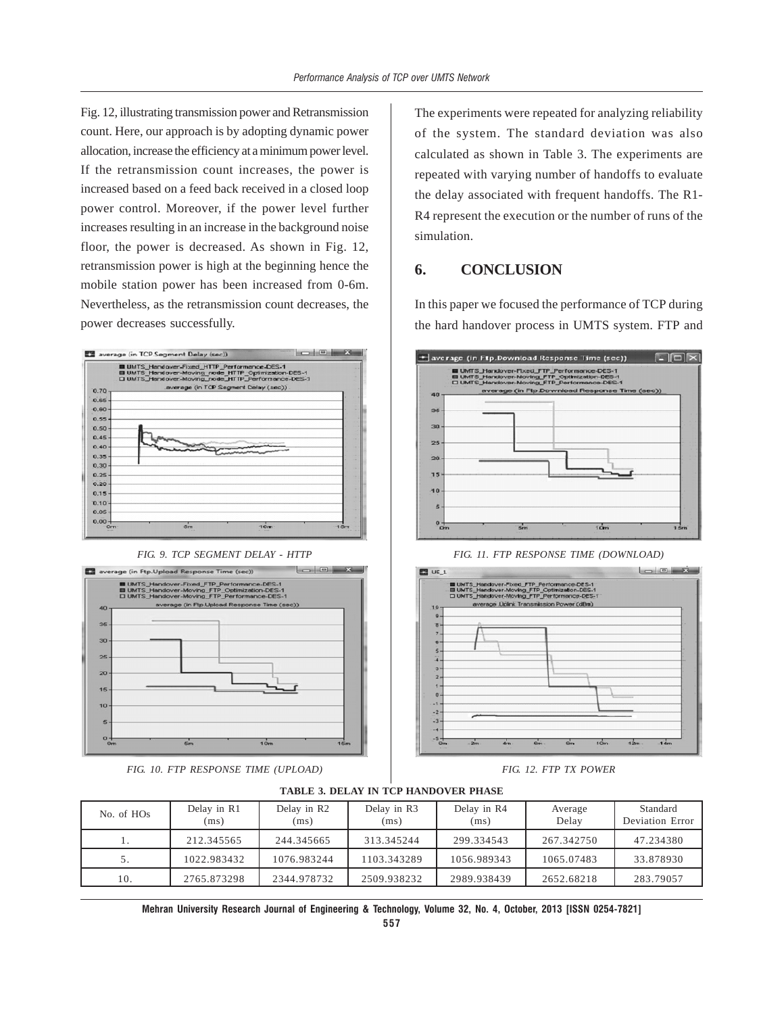Fig. 12, illustrating transmission power and Retransmission count. Here, our approach is by adopting dynamic power allocation, increase the efficiency at a minimum power level. If the retransmission count increases, the power is increased based on a feed back received in a closed loop power control. Moreover, if the power level further increases resulting in an increase in the background noise floor, the power is decreased. As shown in Fig. 12, retransmission power is high at the beginning hence the mobile station power has been increased from 0-6m. Nevertheless, as the retransmission count decreases, the power decreases successfully.



*FIG. 9. TCP SEGMENT DELAY - HTTP*



*FIG. 10. FTP RESPONSE TIME (UPLOAD)*

The experiments were repeated for analyzing reliability of the system. The standard deviation was also calculated as shown in Table 3. The experiments are repeated with varying number of handoffs to evaluate the delay associated with frequent handoffs. The R1- R4 represent the execution or the number of runs of the simulation.

# **6. CONCLUSION**

In this paper we focused the performance of TCP during the hard handover process in UMTS system. FTP and



*FIG. 11. FTP RESPONSE TIME (DOWNLOAD)*



*FIG. 12. FTP TX POWER*

| No. of HO <sub>s</sub> | Delay in R1<br>(ms) | Delay in R2<br>(ms) | Delay in R3<br>(ms) | Delay in R4<br>(ms) | Average<br>Delay | Standard<br>Deviation Error |
|------------------------|---------------------|---------------------|---------------------|---------------------|------------------|-----------------------------|
|                        | 212.345565          | 244.345665          | 313.345244          | 299.334543          | 267.342750       | 47.234380                   |
| J.                     | 1022.983432         | 1076.983244         | 1103.343289         | 1056.989343         | 1065.07483       | 33.878930                   |
| 10.                    | 2765.873298         | 2344.978732         | 2509.938232         | 2989.938439         | 2652.68218       | 283.79057                   |

**TABLE 3. DELAY IN TCP HANDOVER PHASE**

**Mehran University Research Journal of Engineering & Technology, Volume 32, No. 4, October, 2013 [ISSN 0254-7821]**